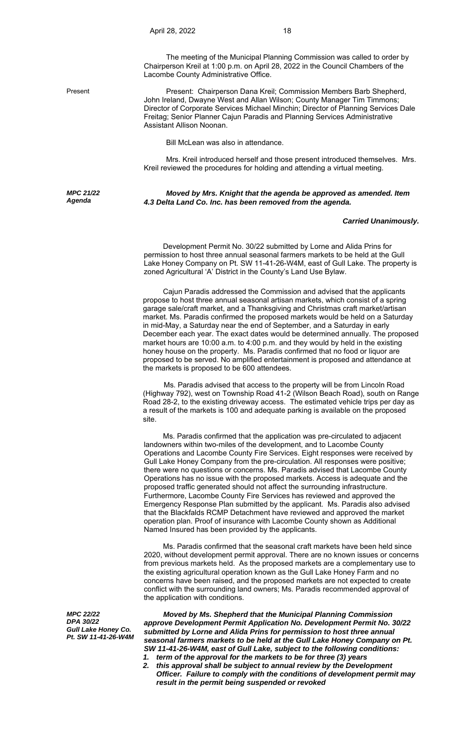The meeting of the Municipal Planning Commission was called to order by Chairperson Kreil at 1:00 p.m. on April 28, 2022 in the Council Chambers of the Lacombe County Administrative Office.

*MPC 21/22 Agenda* 

Present Present: Chairperson Dana Kreil; Commission Members Barb Shepherd, John Ireland, Dwayne West and Allan Wilson; County Manager Tim Timmons; Director of Corporate Services Michael Minchin; Director of Planning Services Dale Freitag; Senior Planner Cajun Paradis and Planning Services Administrative Assistant Allison Noonan.

Bill McLean was also in attendance.

Mrs. Kreil introduced herself and those present introduced themselves. Mrs. Kreil reviewed the procedures for holding and attending a virtual meeting.

*Moved by Mrs. Knight that the agenda be approved as amended. Item 4.3 Delta Land Co. Inc. has been removed from the agenda.* 

## *Carried Unanimously.*

 Development Permit No. 30/22 submitted by Lorne and Alida Prins for permission to host three annual seasonal farmers markets to be held at the Gull Lake Honey Company on Pt. SW 11-41-26-W4M, east of Gull Lake. The property is zoned Agricultural 'A' District in the County's Land Use Bylaw.

 Cajun Paradis addressed the Commission and advised that the applicants propose to host three annual seasonal artisan markets, which consist of a spring garage sale/craft market, and a Thanksgiving and Christmas craft market/artisan market. Ms. Paradis confirmed the proposed markets would be held on a Saturday in mid-May, a Saturday near the end of September, and a Saturday in early December each year. The exact dates would be determined annually. The proposed market hours are 10:00 a.m. to 4:00 p.m. and they would by held in the existing honey house on the property. Ms. Paradis confirmed that no food or liquor are proposed to be served. No amplified entertainment is proposed and attendance at the markets is proposed to be 600 attendees.

 Ms. Paradis advised that access to the property will be from Lincoln Road (Highway 792), west on Township Road 41-2 (Wilson Beach Road), south on Range Road 28-2, to the existing driveway access. The estimated vehicle trips per day as a result of the markets is 100 and adequate parking is available on the proposed site.

 Ms. Paradis confirmed that the application was pre-circulated to adjacent landowners within two-miles of the development, and to Lacombe County Operations and Lacombe County Fire Services. Eight responses were received by Gull Lake Honey Company from the pre-circulation. All responses were positive; there were no questions or concerns. Ms. Paradis advised that Lacombe County Operations has no issue with the proposed markets. Access is adequate and the proposed traffic generated should not affect the surrounding infrastructure. Furthermore, Lacombe County Fire Services has reviewed and approved the Emergency Response Plan submitted by the applicant. Ms. Paradis also advised that the Blackfalds RCMP Detachment have reviewed and approved the market operation plan. Proof of insurance with Lacombe County shown as Additional Named Insured has been provided by the applicants.

 Ms. Paradis confirmed that the seasonal craft markets have been held since 2020, without development permit approval. There are no known issues or concerns from previous markets held. As the proposed markets are a complementary use to the existing agricultural operation known as the Gull Lake Honey Farm and no concerns have been raised, and the proposed markets are not expected to create conflict with the surrounding land owners; Ms. Paradis recommended approval of the application with conditions.

*MPC 22/22 DPA 30/22 Gull Lake Honey Co. Pt. SW 11-41-26-W4M*

 *Moved by Ms. Shepherd that the Municipal Planning Commission approve Development Permit Application No. Development Permit No. 30/22 submitted by Lorne and Alida Prins for permission to host three annual seasonal farmers markets to be held at the Gull Lake Honey Company on Pt. SW 11-41-26-W4M, east of Gull Lake, subject to the following conditions:* 

- *1. term of the approval for the markets to be for three (3) years*
- *2. this approval shall be subject to annual review by the Development Officer. Failure to comply with the conditions of development permit may result in the permit being suspended or revoked*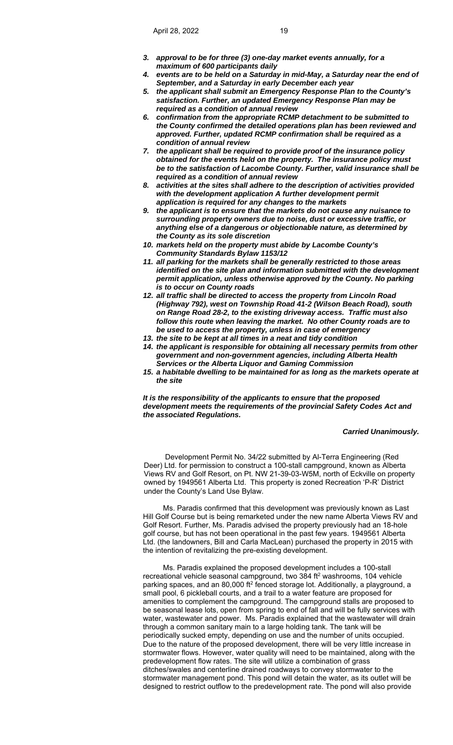- *3. approval to be for three (3) one-day market events annually, for a maximum of 600 participants daily*
- *4. events are to be held on a Saturday in mid-May, a Saturday near the end of September, and a Saturday in early December each year*
- *5. the applicant shall submit an Emergency Response Plan to the County's satisfaction. Further, an updated Emergency Response Plan may be required as a condition of annual review*
- *6. confirmation from the appropriate RCMP detachment to be submitted to the County confirmed the detailed operations plan has been reviewed and approved. Further, updated RCMP confirmation shall be required as a condition of annual review*
- *7. the applicant shall be required to provide proof of the insurance policy obtained for the events held on the property. The insurance policy must be to the satisfaction of Lacombe County. Further, valid insurance shall be required as a condition of annual review*
- *8. activities at the sites shall adhere to the description of activities provided with the development application A further development permit application is required for any changes to the markets*
- *9. the applicant is to ensure that the markets do not cause any nuisance to surrounding property owners due to noise, dust or excessive traffic, or anything else of a dangerous or objectionable nature, as determined by the County as its sole discretion*
- *10. markets held on the property must abide by Lacombe County's Community Standards Bylaw 1153/12*
- *11. all parking for the markets shall be generally restricted to those areas identified on the site plan and information submitted with the development permit application, unless otherwise approved by the County. No parking is to occur on County roads*
- *12. all traffic shall be directed to access the property from Lincoln Road (Highway 792), west on Township Road 41-2 (Wilson Beach Road), south on Range Road 28-2, to the existing driveway access. Traffic must also follow this route when leaving the market. No other County roads are to be used to access the property, unless in case of emergency*
- *13. the site to be kept at all times in a neat and tidy condition*
- *14. the applicant is responsible for obtaining all necessary permits from other government and non-government agencies, including Alberta Health Services or the Alberta Liquor and Gaming Commission*
- *15. a habitable dwelling to be maintained for as long as the markets operate at the site*

*It is the responsibility of the applicants to ensure that the proposed development meets the requirements of the provincial Safety Codes Act and the associated Regulations.* 

## *Carried Unanimously.*

 Development Permit No. 34/22 submitted by Al-Terra Engineering (Red Deer) Ltd. for permission to construct a 100-stall campground, known as Alberta Views RV and Golf Resort, on Pt. NW 21-39-03-W5M, north of Eckville on property owned by 1949561 Alberta Ltd. This property is zoned Recreation 'P-R' District under the County's Land Use Bylaw.

 Ms. Paradis confirmed that this development was previously known as Last Hill Golf Course but is being remarketed under the new name Alberta Views RV and Golf Resort. Further, Ms. Paradis advised the property previously had an 18-hole golf course, but has not been operational in the past few years. 1949561 Alberta Ltd. (the landowners, Bill and Carla MacLean) purchased the property in 2015 with the intention of revitalizing the pre-existing development.

 Ms. Paradis explained the proposed development includes a 100-stall recreational vehicle seasonal campground, two 384 ft<sup>2</sup> washrooms, 104 vehicle parking spaces, and an 80,000 ft<sup>2</sup> fenced storage lot. Additionally, a playground, a small pool, 6 pickleball courts, and a trail to a water feature are proposed for amenities to complement the campground. The campground stalls are proposed to be seasonal lease lots, open from spring to end of fall and will be fully services with water, wastewater and power. Ms. Paradis explained that the wastewater will drain through a common sanitary main to a large holding tank. The tank will be periodically sucked empty, depending on use and the number of units occupied. Due to the nature of the proposed development, there will be very little increase in stormwater flows. However, water quality will need to be maintained, along with the predevelopment flow rates. The site will utilize a combination of grass ditches/swales and centerline drained roadways to convey stormwater to the stormwater management pond. This pond will detain the water, as its outlet will be designed to restrict outflow to the predevelopment rate. The pond will also provide